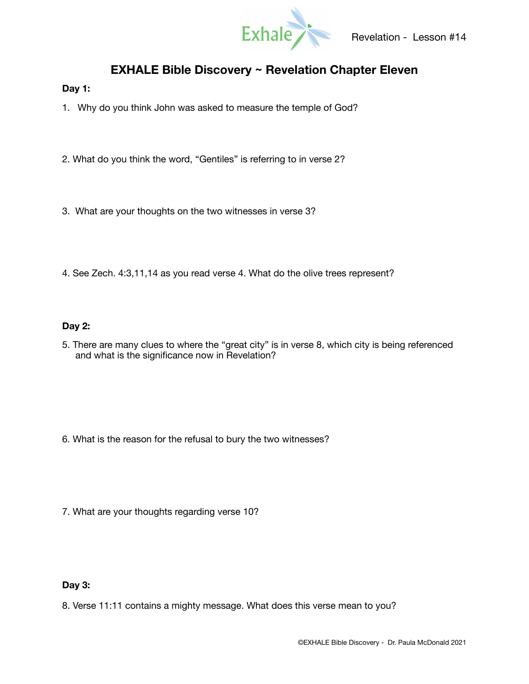

# **EXHALE Bible Discovery ~ Revelation Chapter Eleven**

## **Day 1:**

1. Why do you think John was asked to measure the temple of God?

- 2. What do you think the word, "Gentiles" is referring to in verse 2?
- 3. What are your thoughts on the two witnesses in verse 3?
- 4. See Zech. 4:3,11,14 as you read verse 4. What do the olive trees represent?

## **Day 2:**

5. There are many clues to where the "great city" is in verse 8, which city is being referenced and what is the significance now in Revelation?

- 6. What is the reason for the refusal to bury the two witnesses?
- 7. What are your thoughts regarding verse 10?

# **Day 3:**

8. Verse 11:11 contains a mighty message. What does this verse mean to you?